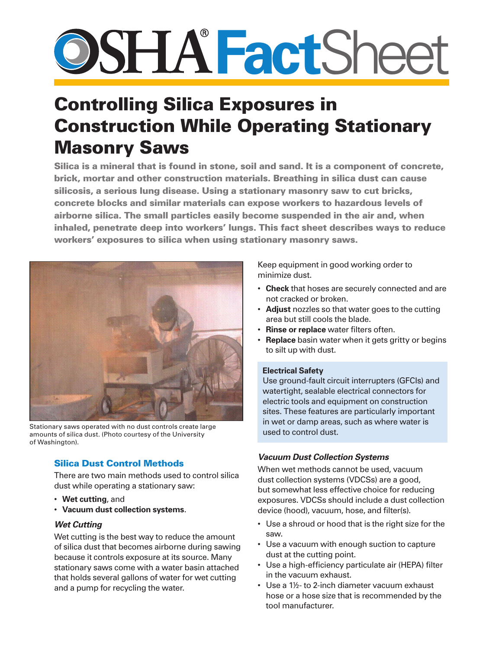# **SHA FactShee**

# Controlling Silica Exposures in Construction While Operating Stationary Masonry Saws

Silica is a mineral that is found in stone, soil and sand. It is a component of concrete, brick, mortar and other construction materials. Breathing in silica dust can cause silicosis, a serious lung disease. Using a stationary masonry saw to cut bricks, concrete blocks and similar materials can expose workers to hazardous levels of airborne silica. The small particles easily become suspended in the air and, when inhaled, penetrate deep into workers' lungs. This fact sheet describes ways to reduce workers' exposures to silica when using stationary masonry saws.



Stationary saws operated with no dust controls create large amounts of silica dust. (Photo courtesy of the University of Washington).

# Silica Dust Control Methods

There are two main methods used to control silica dust while operating a stationary saw:

- • **Wet cutting**, and
- • **Vacuum dust collection systems**.

## *Wet Cutting*

Wet cutting is the best way to reduce the amount of silica dust that becomes airborne during sawing because it controls exposure at its source. Many stationary saws come with a water basin attached that holds several gallons of water for wet cutting and a pump for recycling the water.

Keep equipment in good working order to minimize dust.

- • **Check** that hoses are securely connected and are not cracked or broken.
- • **Adjust** nozzles so that water goes to the cutting area but still cools the blade.
- • **Rinse or replace** water filters often.
- **Replace** basin water when it gets gritty or begins to silt up with dust.

#### **Electrical Safety**

Use ground-fault circuit interrupters (GFCIs) and watertight, sealable electrical connectors for electric tools and equipment on construction sites. These features are particularly important in wet or damp areas, such as where water is used to control dust.

## *Vacuum Dust Collection Systems*

When wet methods cannot be used, vacuum dust collection systems (VDCSs) are a good, but somewhat less effective choice for reducing exposures. VDCSs should include a dust collection device (hood), vacuum, hose, and filter(s).

- Use a shroud or hood that is the right size for the saw.
- Use a vacuum with enough suction to capture dust at the cutting point.
- Use a high-efficiency particulate air (HEPA) filter in the vacuum exhaust.
- Use a 1½- to 2-inch diameter vacuum exhaust hose or a hose size that is recommended by the tool manufacturer.